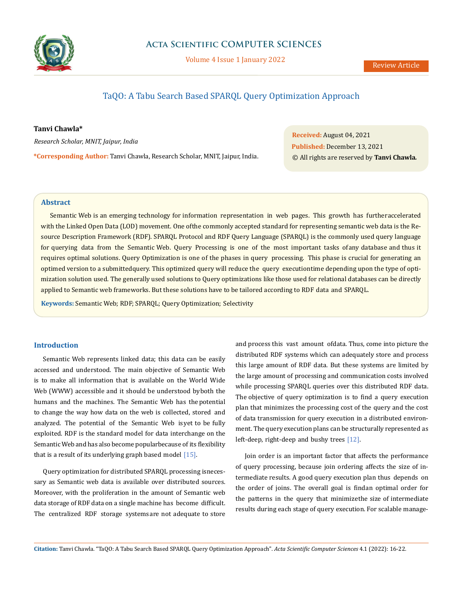

# **Acta Scientific COMPUTER SCIENCES**

Volume 4 Issue 1 January 2022

# TaQO: A Tabu Search Based SPARQL Query Optimization Approach

# **Tanvi Chawla\***

*Research Scholar, MNIT, Jaipur, India*

**\*Corresponding Author:** Tanvi Chawla, Research Scholar, MNIT, Jaipur, India.

**Received:** August 04, 2021 **Published:** December 13, 2021 © All rights are reserved by **Tanvi Chawla***.*

## **Abstract**

Semantic Web is an emerging technology for information representation in web pages. This growth has further accelerated with the Linked Open Data (LOD) movement. One of the commonly accepted standard for representing semantic web data is the Resource Description Framework (RDF). SPARQL Protocol and RDF Query Language (SPARQL) is the commonly used query language for querying data from the Semantic Web. Query Processing is one of the most important tasks of any database and thus it requires optimal solutions. Query Optimization is one of the phases in query processing. This phase is crucial for generating an optimed version to a submitted query. This optimized query will reduce the query execution time depending upon the type of optimization solution used. The generally used solutions to Query optimizations like those used for relational databases can be directly applied to Semantic web frameworks. But these solutions have to be tailored according to RDF data and SPARQL.

**Keywords:** Semantic Web; RDF; SPARQL; Query Optimization; Selectivity

# **Introduction**

Semantic Web represents linked data; this data can be easily accessed and understood. The main objective of Semantic Web is to make all information that is available on the World Wide Web (WWW) accessible and it should be understood by both the humans and the machines. The Semantic Web has the potential to change the way how data on the web is collected, stored and analyzed. The potential of the Semantic Web is yet to be fully exploited. RDF is the standard model for data interchange on the Semantic Web and has also become popularbecause of its flexibility that is a result of its underlying graph based model  $[15]$ .

Query optimization for distributed SPARQL processing isnecessary as Semantic web data is available over distributed sources. Moreover, with the proliferation in the amount of Semantic web data storage of RDF data on a single machine has become difficult. The centralized RDF storage systems are not adequate to store

and process this vast amount of data. Thus, come into picture the distributed RDF systems which can adequately store and process this large amount of RDF data. But these systems are limited by the large amount of processing and communication costs involved while processing SPARQL queries over this distributed RDF data. The objective of query optimization is to find a query execution plan that minimizes the processing cost of the query and the cost of data transmission for query execution in a distributed environment. The query execution plans can be structurally represented as left-deep, right-deep and bushy trees [12].

Join order is an important factor that affects the performance of query processing, because join ordering affects the size of intermediate results. A good query execution plan thus depends on the order of joins. The overall goal is find an optimal order for the patterns in the query that minimize the size of intermediate results during each stage of query execution. For scalable manage-

**Citation:** Tanvi Chawla*.* "TaQO: A Tabu Search Based SPARQL Query Optimization Approach". *Acta Scientific Computer Sciences* 4.1 (2022): 16-22.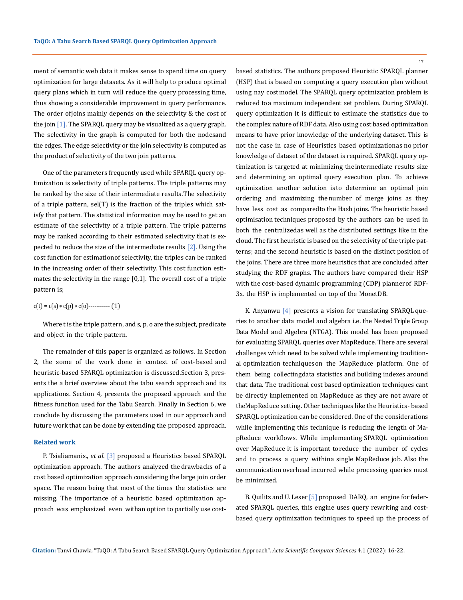ment of semantic web data it makes sense to spend time on query optimization for large datasets. As it will help to produce optimal query plans which in turn will reduce the query processing time, thus showing a considerable improvement in query performance. The order of joins mainly depends on the selectivity & the cost of the join [1]. The SPARQL query may be visualized as a query graph. The selectivity in the graph is computed for both the nodesand the edges. The edge selectivity or the join selectivity is computed as the product of selectivity of the two join patterns.

One of the parameters frequently used while SPARQL query optimization is selectivity of triple patterns. The triple patterns may be ranked by the size of their intermediate results. The selectivity of a triple pattern, sel(T) is the fraction of the triples which satisfy that pattern. The statistical information may be used to get an estimate of the selectivity of a triple pattern. The triple patterns may be ranked according to their estimated selectivity that is expected to reduce the size of the intermediate results  $[2]$ . Using the cost function for estimation of selectivity, the triples can be ranked in the increasing order of their selectivity. This cost function estimates the selectivity in the range [0,1]. The overall cost of a triple pattern is;

$$
c(t) = c(s) * c(p) * c(0) \dots (1)
$$

Where t is the triple pattern, and s, p, o are the subject, predicate and object in the triple pattern.

The remainder of this paper is organized as follows. In Section 2, the some of the work done in context of cost-based and heuristic-based SPARQL optimization is discussed. Section 3, presents the a brief overview about the tabu search approach and its applications. Section 4, presents the proposed approach and the fitness function used for the Tabu Search. Finally in Section 6, we conclude by discussing the parameters used in our approach and future work that can be done by extending the proposed approach.

#### **Related work**

P. Tsialiamanis., *et al*. [3] proposed a Heuristics based SPARQL optimization approach. The authors analyzed the drawbacks of a cost based optimization approach considering the large join order space. The reason being that most of the times the statistics are missing. The importance of a heuristic based optimization approach was emphasized even withan option to partially use costbased statistics. The authors proposed Heuristic SPARQL planner (HSP) that is based on computing a query execution plan without using nay costmodel. The SPARQL query optimization problem is reduced to a maximum independent set problem. During SPARQL query optimization it is difficult to estimate the statistics due to the complex nature of RDF data. Also using cost based optimization means to have prior knowledge of the underlying dataset. This is not the case in case of Heuristics based optimizationas no prior knowledge of dataset of the dataset is required. SPARQL query optimization is targeted at minimizing the intermediate results size and determining an optimal query execution plan. To achieve optimization another solution is to determine an optimal join ordering and maximizing the number of merge joins as they have less cost as compared to the Hash joins. The heuristic based optimisation techniques proposed by the authors can be used in both the centralized as well as the distributed settings like in the cloud. The first heuristic is based on the selectivity of the triple patterns; and the second heuristic is based on the distinct position of the joins. There are three more heuristics that are concluded after studying the RDF graphs. The authors have compared their HSP with the cost-based dynamic programming (CDP) planner of RDF-3x. the HSP is implemented on top of the MonetDB.

K. Anyanwu  $[4]$  presents a vision for translating SPARQL queries to another data model and algebra i.e. the Nested Triple Group Data Model and Algebra (NTGA). This model has been proposed for evaluating SPARQL queries over MapReduce. There are several challenges which need to be solved while implementing traditional optimization techniques on the MapReduce platform. One of them being collecting data statistics and building indexes around that data. The traditional cost based optimization techniques cant be directly implemented on MapReduce as they are not aware of the MapReduce setting. Other techniques like the Heuristics- based SPARQL optimization can be considered. One of the considerations while implementing this technique is reducing the length of MapReduce workflows. While implementing SPARQL optimization over MapReduce it is important to reduce the number of cycles and to process a query withina single MapReduce job. Also the communication overhead incurred while processing queries must be minimized.

B. Quilitz and U. Leser [5] proposed DARQ, an engine for federated SPARQL queries, this engine uses query rewriting and costbased query optimization techniques to speed up the process of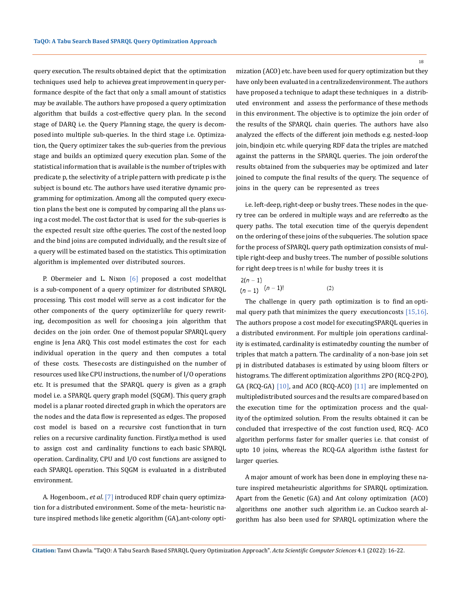query execution. The results obtained depict that the optimization techniques used help to achievea great improvement in query performance despite of the fact that only a small amount of statistics may be available. The authors have proposed a query optimization algorithm that builds a cost-effective query plan. In the second stage of DARQ i.e. the Query Planning stage, the query is decomposed into multiple sub-queries. In the third stage i.e. Optimization, the Query optimizer takes the sub-queries from the previous stage and builds an optimized query execution plan. Some of the statistical information that is available is the number of triples with predicate p, the selectivity of a triple pattern with predicate p is the subject is bound etc. The authors have used iterative dynamic programming for optimization. Among all the computed query execution plans the best one is computed by comparing all the plans using a cost model. The cost factor that is used for the sub-queries is the expected result size of the queries. The cost of the nested loop and the bind joins are computed individually, and the result size of a query will be estimated based on the statistics. This optimization algorithm is implemented over distributed sources.

P. Obermeier and L. Nixon  $[6]$  proposed a cost model that is a sub-component of a query optimizer for distributed SPARQL processing. This cost model will serve as a cost indicator for the other components of the query optimizerlike for query rewriting, decomposition as well for choosing a join algorithm that decides on the join order. One of the most popular SPARQL query engine is Jena ARQ. This cost model estimates the cost for each individual operation in the query and then computes a total of these costs. These costs are distinguished on the number of resources used like CPU instructions, the number of I/O operations etc. It is presumed that the SPARQL query is given as a graph model i.e. a SPARQL query graph model (SQGM). This query graph model is a planar rooted directed graph in which the operators are the nodes and the data flow is represented as edges. The proposed cost model is based on a recursive cost function that in turn relies on a recursive cardinality function. Firstly, a method is used to assign cost and cardinality functions to each basic SPARQL operation. Cardinality, CPU and I/O cost functions are assigned to each SPARQL operation. This SQGM is evaluated in a distributed environment.

A. Hogenboom., *et al*. [7] introduced RDF chain query optimization for a distributed environment. Some of the meta- heuristic nature inspired methods like genetic algorithm (GA), ant-colony optimization (ACO) etc. have been used for query optimization but they have only been evaluated in a centralized environment. The authors have proposed a technique to adapt these techniques in a distributed environment and assess the performance of these methods in this environment. The objective is to optimize the join order of the results of the SPARQL chain queries. The authors have also analyzed the effects of the different join methods e.g. nested-loop join, bindjoin etc. while querying RDF data the triples are matched against the patterns in the SPARQL queries. The join order of the results obtained from the subqueries may be optimized and later joined to compute the final results of the query. The sequence of joins in the query can be represented as trees

i.e. left-deep, right-deep or bushy trees. These nodes in the query tree can be ordered in multiple ways and are referredto as the query paths. The total execution time of the query is dependent on the ordering of these joins of the subqueries. The solution space for the process of SPARQL query path optimization consists of multiple right-deep and bushy trees. The number of possible solutions for right deep trees is n! while for bushy trees it is

$$
2(n-1) (n-1) \t (n-1)!
$$
 (2)

The challenge in query path optimization is to find an optimal query path that minimizes the query execution costs  $[15,16]$ . The authors propose a cost model for executing SPARQL queries in a distributed environment. For multiple join operations cardinality is estimated, cardinality is estimated by counting the number of triples that match a pattern. The cardinality of a non-base join set pj in distributed databases is estimated by using bloom filters or histograms. The different optimization algorithms 2PO (RCQ-2PO), GA (RCQ-GA) [10], and ACO (RCQ-ACO) [11] are implemented on multipledistributed sources and the results are compared based on the execution time for the optimization process and the quality of the optimized solution. From the results obtained it can be concluded that irrespective of the cost function used, RCQ- ACO algorithm performs faster for smaller queries i.e. that consist of upto 10 joins, whereas the RCQ-GA algorithm is the fastest for larger queries.

A major amount of work has been done in employing these nature inspired metaheuristic algorithms for SPARQL optimization. Apart from the Genetic (GA) and Ant colony optimization (ACO) algorithms one another such algorithm i.e. an Cuckoo search algorithm has also been used for SPARQL optimization where the

18

**Citation:** Tanvi Chawla*.* "TaQO: A Tabu Search Based SPARQL Query Optimization Approach". *Acta Scientific Computer Sciences* 4.1 (2022): 16-22.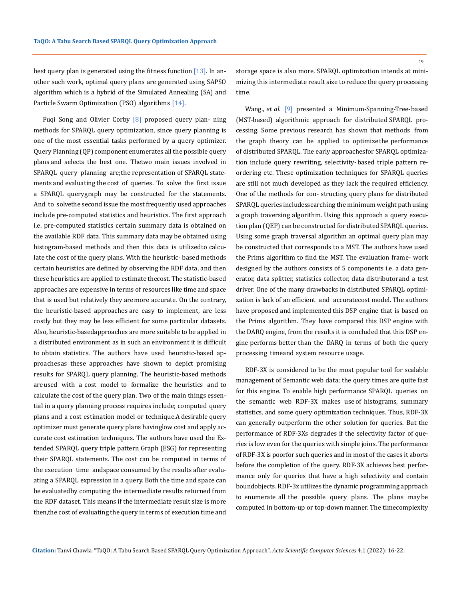best query plan is generated using the fitness function  $[13]$ . In another such work, optimal query plans are generated using SAPSO algorithm which is a hybrid of the Simulated Annealing (SA) and Particle Swarm Optimization (PSO) algorithms [14].

Fuqi Song and Olivier Corby [8] proposed query plan- ning methods for SPARQL query optimization, since query planning is one of the most essential tasks performed by a query optimizer. Query Planning (QP) component enumerates all the possible query plans and selects the best one. The two main issues involved in SPARQL query planning are; the representation of SPARQL statements and evaluating the cost of queries. To solve the first issue a SPARQL query graph may be constructed for the statements. And to solvethe second issue the most frequently used approaches include pre-computed statistics and heuristics. The first approach i.e. pre-computed statistics certain summary data is obtained on the available RDF data. This summary data may be obtained using histogram-based methods and then this data is utilized to calculate the cost of the query plans. With the heuristic- based methods certain heuristics are defined by observing the RDF data, and then these heuristics are applied to estimate the cost. The statistic-based approaches are expensive in terms of resources like time and space that is used but relatively they are more accurate. On the contrary, the heuristic-based approaches are easy to implement, are less costly but they may be less efficient for some particular datasets. Also, heuristic-based approaches are more suitable to be applied in a distributed environment as in such an environment it is difficult to obtain statistics. The authors have used heuristic-based approaches as these approaches have shown to depict promising results for SPARQL query planning. The heuristic-based methods are used with a cost model to formalize the heuristics and to calculate the cost of the query plan. Two of the main things essential in a query planning process requires include; computed query plans and a cost estimation model or technique.A desirable query optimizer must generate query plans having low cost and apply accurate cost estimation techniques. The authors have used the Extended SPARQL query triple pattern Graph (ESG) for representing their SPARQL statements. The cost can be computed in terms of the execution time and space consumed by the results after evaluating a SPARQL expression in a query. Both the time and space can be evaluated by computing the intermediate results returned from the RDF dataset. This means if the intermediate result size is more then, the cost of evaluating the query in terms of execution time and

storage space is also more. SPARQL optimization intends at minimizing this intermediate result size to reduce the query processing time.

Wang., *et al.* [9] presented a Minimum-Spanning-Tree-based (MST-based) algorithmic approach for distributed SPARQL processing. Some previous research has shown that methods from the graph theory can be applied to optimize the performance of distributed SPARQL. The early approaches for SPARQL optimization include query rewriting, selectivity- based triple pattern reordering etc. These optimization techniques for SPARQL queries are still not much developed as they lack the required efficiency. One of the methods for con- structing query plans for distributed SPARQL queries includes searching the minimum weight path using a graph traversing algorithm. Using this approach a query execution plan (QEP) can be constructed for distributed SPARQL queries. Using some graph traversal algorithm an optimal query plan may be constructed that corresponds to a MST. The authors have used the Prims algorithm to find the MST. The evaluation frame- work designed by the authors consists of 5 components i.e. a data generator, data splitter, statistics collector, data distributor and a test driver. One of the many drawbacks in distributed SPARQL optimization is lack of an efficient and accurate cost model. The authors have proposed and implemented this DSP engine that is based on the Prims algorithm. They have compared this DSP engine with the DARQ engine, from the results it is concluded that this DSP engine performs better than the DARQ in terms of both the query processing time and system resource usage.

RDF-3X is considered to be the most popular tool for scalable management of Semantic web data; the query times are quite fast for this engine. To enable high performance SPARQL queries on the semantic web RDF-3X makes use of histograms, summary statistics, and some query optimization techniques. Thus, RDF-3X can generally outperform the other solution for queries. But the performance of RDF-3Xs degrades if the selectivity factor of queries is low even for the queries with simple joins. The performance of RDF-3X is poorfor such queries and in most of the cases it aborts before the completion of the query. RDF-3X achieves best performance only for queries that have a high selectivity and contain bound objects. RDF-3x utilizes the dynamic programming approach to enumerate all the possible query plans. The plans may be computed in bottom-up or top-down manner. The time complexity

**Citation:** Tanvi Chawla*.* "TaQO: A Tabu Search Based SPARQL Query Optimization Approach". *Acta Scientific Computer Sciences* 4.1 (2022): 16-22.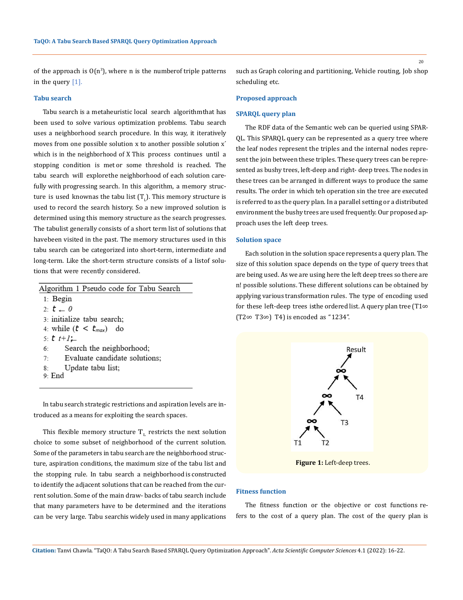of the approach is  $O(n^3)$ , where n is the numberof triple patterns in the query [1].

### **Tabu search**

Tabu search is a metaheuristic local search algorithm that has been used to solve various optimization problems. Tabu search uses a neighborhood search procedure. In this way, it iteratively moves from one possible solution x to another possible solution x´ which is in the neighborhood of X This process continues until a stopping condition is met or some threshold is reached. The tabu search will explorethe neighborhood of each solution carefully with progressing search. In this algorithm, a memory structure is used knownas the tabu list  $(T_{L})$ . This memory structure is used to record the search history. So a new improved solution is determined using this memory structure as the search progresses. The tabulist generally consists of a short term list of solutions that have been visited in the past. The memory structures used in this tabu search can be categorized into short-term, intermediate and long-term. Like the short-term structure consists of a listof solutions that were recently considered.

| Algorithm 1 Pseudo code for Tabu Search |
|-----------------------------------------|
| $1:$ Begin                              |
| 2: $t = 0$                              |
| 3: initialize tabu search;              |
| 4. while $(t < t_{max})$ do             |
| 5: $t$ $t+1$ $\leftarrow$               |
| Search the neighborhood;<br>6:          |
| 7: Evaluate candidate solutions;        |
| 8. Update tabu list;                    |
| 9- End                                  |
|                                         |

In tabu search strategic restrictions and aspiration levels are introduced as a means for exploiting the search spaces.

This flexible memory structure  $T<sub>L</sub>$  restricts the next solution choice to some subset of neighborhood of the current solution. Some of the parameters in tabu search are the neighborhood structure, aspiration conditions, the maximum size of the tabu list and the stopping rule. In tabu search a neighborhood is constructed to identify the adjacent solutions that can be reached from the current solution. Some of the main draw- backs of tabu search include that many parameters have to be determined and the iterations can be very large. Tabu searchis widely used in many applications such as Graph coloring and partitioning, Vehicle routing, Job shop scheduling etc.

### **Proposed approach**

#### **SPARQL query plan**

The RDF data of the Semantic web can be queried using SPAR-QL. This SPARQL query can be represented as a query tree where the leaf nodes represent the triples and the internal nodes represent the join between these triples. These query trees can be represented as bushy trees, left-deep and right- deep trees. The nodes in these trees can be arranged in different ways to produce the same results. The order in which teh operation sin the tree are executed is referred to as the query plan. In a parallel setting or a distributed environment the bushy trees are used frequently. Our proposed approach uses the left deep trees.

#### **Solution space**

Each solution in the solution space represents a query plan. The size of this solution space depends on the type of query trees that are being used. As we are using here the left deep trees so there are n! possible solutions. These different solutions can be obtained by applying various transformation rules. The type of encoding used for these left-deep trees is the ordered list. A query plan tree (T1 $\infty$ (T2∞ T3∞) T4) is encoded as "1234".



 **Figure 1:** Left-deep trees.

#### **Fitness function**

The fitness function or the objective or cost functions refers to the cost of a query plan. The cost of the query plan is

20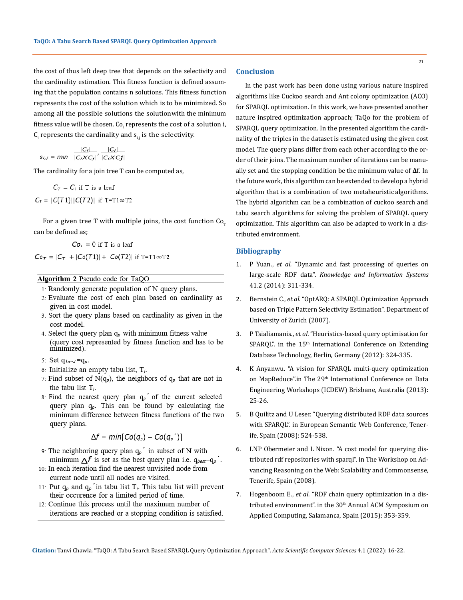the cost of thus left deep tree that depends on the selectivity and the cardinality estimation. This fitness function is defined assuming that the population contains n solutions. This fitness function represents the cost of the solution which is to be minimized. So among all the possible solutions the solution with the minimum fitness value will be chosen. Co<sub>i</sub> represents the cost of a solution i,  ${\sf C}_{{\sf i}}$  represents the cardinality and  ${\sf s}_{{\sf i},{\sf j}}$  is the selectivity.

$$
s_{i,j} = min \frac{|C_i|}{|C_iXC_j|} \cdot \frac{|C_i|}{|C_iXC_j|}
$$

The cardinality for a join tree T can be computed as,

$$
C_T = C_i \text{ if } T \text{ is a leaf}
$$

$$
C_T = |C(T1)| |C(T2)| \text{ if } T = T1 \infty T2
$$

For a given tree T with multiple joins, the cost function  $Co_T$ can be defined as;

 $C\sigma$ <sub>r</sub> = 0 if T is a leaf

 $C_0$ <sub>T</sub> =  $|C_T|$  +  $|C_0(T1)|$  +  $|C_0(T2)|$  if T=T1 $\infty$ T2

# Algorithm 2 Pseudo code for TaQO

- 1: Randomly generate population of N query plans.
- 2: Evaluate the cost of each plan based on cardinality as given in cost model.
- 3: Sort the query plans based on cardinality as given in the cost model.
- 4: Select the query plan  $q_p$  with minimum fitness value (query cost represented by fitness function and has to be minimized).
- 5: Set q<sub>best</sub>=q<sub>p</sub>.
- 6: Initialize an empty tabu list,  $T_i$ .
- 7: Find subset of N(q<sub>p</sub>), the neighbors of  $q_p$  that are not in the tabu list  $T_i$ .
- 8: Find the nearest query plan  $q_p$  of the current selected query plan  $q_p$ . This can be found by calculating the minimum difference between fitness functions of the two query plans.

$$
\Delta f = min[Co(q_{p}) - Co(q_{p}^{\prime})]
$$

- 9: The neighboring query plan  $q_p$  in subset of N with minimum  $\Delta f$  is set as the best query plan i.e.  $q_{best}=q_p$ .
- 10: In each iteration find the nearest unvisited node from current node until all nodes are visited.
- 11: Put  $q_p$  and  $q_p$  in tabu list  $T_i$ . This tabu list will prevent their occurence for a limited period of time.
- 12. Continue this process until the maximum number of iterations are reached or a stopping condition is satisfied.

#### **Conclusion**

In the past work has been done using various nature inspired algorithms like Cuckoo search and Ant colony optimization (ACO) for SPARQL optimization. In this work, we have presented another nature inspired optimization approach; TaQo for the problem of SPARQL query optimization. In the presented algorithm the cardinality of the triples in the dataset is estimated using the given cost model. The query plans differ from each other according to the order of their joins. The maximum number of iterations can be manually set and the stopping condition be the minimum value of **Δ**f. In the future work, this algorithm can be extended to develop a hybrid algorithm that is a combination of two metaheuristic algorithms. The hybrid algorithm can be a combination of cuckoo search and tabu search algorithms for solving the problem of SPARQL query optimization. This algorithm can also be adapted to work in a distributed environment.

## **Bibliography**

- 1. P Yuan., *et al.* ["Dynamic and fast processing of queries on](https://www.researchgate.net/publication/260166264_Dynamic_and_fast_processing_of_queries_on_large-scale_RDF_data)  large-scale RDF data". *[Knowledge and Information Systems](https://www.researchgate.net/publication/260166264_Dynamic_and_fast_processing_of_queries_on_large-scale_RDF_data)*  [41.2 \(2014\): 311-334.](https://www.researchgate.net/publication/260166264_Dynamic_and_fast_processing_of_queries_on_large-scale_RDF_data)
- 2. Bernstein C., *et al.* ["OptARQ: A SPARQL Optimization Approach](https://www.researchgate.net/publication/228359365_OptARQ_A_SPARQL_optimization_approach_based_on_triple_pattern_selectivity_estimation) [based on Triple Pattern Selectivity Estimation". Department of](https://www.researchgate.net/publication/228359365_OptARQ_A_SPARQL_optimization_approach_based_on_triple_pattern_selectivity_estimation) [University of Zurich \(2007\).](https://www.researchgate.net/publication/228359365_OptARQ_A_SPARQL_optimization_approach_based_on_triple_pattern_selectivity_estimation)
- 3. P Tsialiamanis., *et al.* ["Heuristics-based query optimisation for](https://openproceedings.org/2012/conf/edbt/TsialiamanisSFCB12.pdf)  SPARQL". in the 15<sup>th</sup> International Conference on Extending [Database Technology, Berlin, Germany \(2012\): 324-335.](https://openproceedings.org/2012/conf/edbt/TsialiamanisSFCB12.pdf)
- 4. [K Anyanwu. "A vision for SPARQL multi-query optimization](https://www.researchgate.net/publication/261108570_A_vision_for_SPARQL_multi-query_optimization_on_MapReduce)  on MapReduce".in The 29<sup>th</sup> International Conference on Data [Engineering Workshops \(ICDEW\) Brisbane, Australia \(2013\):](https://www.researchgate.net/publication/261108570_A_vision_for_SPARQL_multi-query_optimization_on_MapReduce) [25-26.](https://www.researchgate.net/publication/261108570_A_vision_for_SPARQL_multi-query_optimization_on_MapReduce)
- 5. [B Quilitz and U Leser. "Querying distributed RDF data sources](https://link.springer.com/chapter/10.1007/978-3-540-68234-9_39) [with SPARQL". in European Semantic Web Conference, Tener](https://link.springer.com/chapter/10.1007/978-3-540-68234-9_39)[ife, Spain \(2008\): 524-538.](https://link.springer.com/chapter/10.1007/978-3-540-68234-9_39)
- 6. [LNP Obermeier and L Nixon. "A cost model for querying dis](file:///D:/AS/ASCS/ASCS-21-RW-102/A%20cost%20model%20for%20querying%20distributed%20rdf-repositories%20with%20sparql)[tributed rdf repositories with sparql". in The Workshop on Ad](file:///D:/AS/ASCS/ASCS-21-RW-102/A%20cost%20model%20for%20querying%20distributed%20rdf-repositories%20with%20sparql)[vancing Reasoning on the Web: Scalability and Commonsense,](file:///D:/AS/ASCS/ASCS-21-RW-102/A%20cost%20model%20for%20querying%20distributed%20rdf-repositories%20with%20sparql) [Tenerife, Spain](file:///D:/AS/ASCS/ASCS-21-RW-102/A%20cost%20model%20for%20querying%20distributed%20rdf-repositories%20with%20sparql) (2008).
- 7. Hogenboom E., *et al.* ["RDF chain query optimization in a dis](https://www.researchgate.net/publication/310361644_RDF_chain_query_optimization_in_a_distributed_environment)tributed environment". in the 30<sup>th</sup> Annual ACM Symposium on [Applied Computing, Salamanca, Spain \(2015\): 353-359.](https://www.researchgate.net/publication/310361644_RDF_chain_query_optimization_in_a_distributed_environment)

**Citation:** Tanvi Chawla*.* "TaQO: A Tabu Search Based SPARQL Query Optimization Approach". *Acta Scientific Computer Sciences* 4.1 (2022): 16-22.